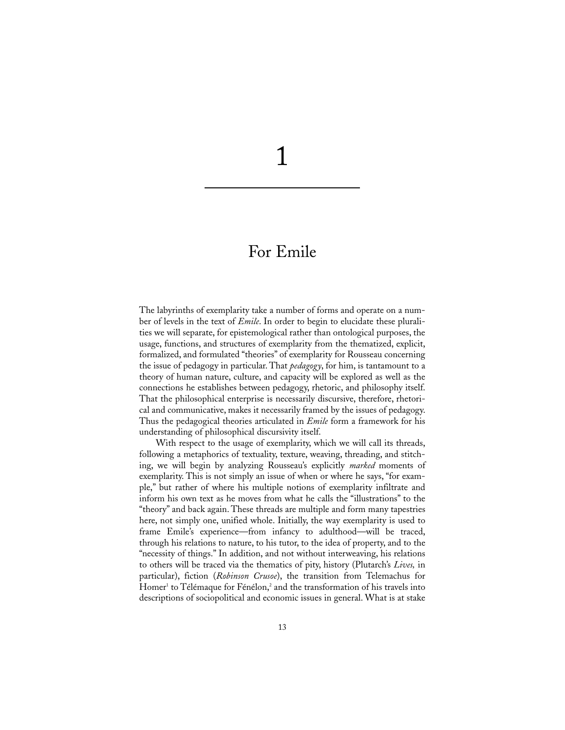# 1

## For Emile

The labyrinths of exemplarity take a number of forms and operate on a number of levels in the text of *Emile*. In order to begin to elucidate these pluralities we will separate, for epistemological rather than ontological purposes, the usage, functions, and structures of exemplarity from the thematized, explicit, formalized, and formulated "theories" of exemplarity for Rousseau concerning the issue of pedagogy in particular. That *pedagogy*, for him, is tantamount to a theory of human nature, culture, and capacity will be explored as well as the connections he establishes between pedagogy, rhetoric, and philosophy itself. That the philosophical enterprise is necessarily discursive, therefore, rhetorical and communicative, makes it necessarily framed by the issues of pedagogy. Thus the pedagogical theories articulated in *Emile* form a framework for his understanding of philosophical discursivity itself.

With respect to the usage of exemplarity, which we will call its threads, following a metaphorics of textuality, texture, weaving, threading, and stitching, we will begin by analyzing Rousseau's explicitly *marked* moments of exemplarity. This is not simply an issue of when or where he says, "for example," but rather of where his multiple notions of exemplarity infiltrate and inform his own text as he moves from what he calls the "illustrations" to the "theory" and back again. These threads are multiple and form many tapestries here, not simply one, unified whole. Initially, the way exemplarity is used to frame Emile's experience—from infancy to adulthood—will be traced, through his relations to nature, to his tutor, to the idea of property, and to the "necessity of things." In addition, and not without interweaving, his relations to others will be traced via the thematics of pity, history (Plutarch's *Lives,* in particular), fiction (*Robinson Crusoe*), the transition from Telemachus for Homer<sup>1</sup> to Télémaque for Fénélon,<sup>2</sup> and the transformation of his travels into descriptions of sociopolitical and economic issues in general. What is at stake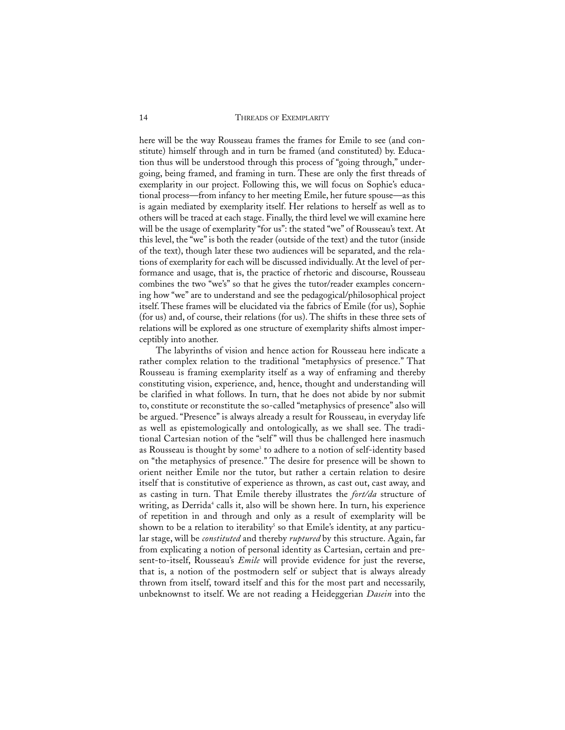here will be the way Rousseau frames the frames for Emile to see (and constitute) himself through and in turn be framed (and constituted) by. Education thus will be understood through this process of "going through," undergoing, being framed, and framing in turn. These are only the first threads of exemplarity in our project. Following this, we will focus on Sophie's educational process—from infancy to her meeting Emile, her future spouse—as this is again mediated by exemplarity itself. Her relations to herself as well as to others will be traced at each stage. Finally, the third level we will examine here will be the usage of exemplarity "for us": the stated "we" of Rousseau's text. At this level, the "we" is both the reader (outside of the text) and the tutor (inside of the text), though later these two audiences will be separated, and the relations of exemplarity for each will be discussed individually. At the level of performance and usage, that is, the practice of rhetoric and discourse, Rousseau combines the two "we's" so that he gives the tutor/reader examples concerning how "we" are to understand and see the pedagogical/philosophical project itself. These frames will be elucidated via the fabrics of Emile (for us), Sophie (for us) and, of course, their relations (for us). The shifts in these three sets of relations will be explored as one structure of exemplarity shifts almost imperceptibly into another.

The labyrinths of vision and hence action for Rousseau here indicate a rather complex relation to the traditional "metaphysics of presence." That Rousseau is framing exemplarity itself as a way of enframing and thereby constituting vision, experience, and, hence, thought and understanding will be clarified in what follows. In turn, that he does not abide by nor submit to, constitute or reconstitute the so-called "metaphysics of presence" also will be argued. "Presence" is always already a result for Rousseau, in everyday life as well as epistemologically and ontologically, as we shall see. The traditional Cartesian notion of the "self" will thus be challenged here inasmuch as Rousseau is thought by some<sup>3</sup> to adhere to a notion of self-identity based on "the metaphysics of presence." The desire for presence will be shown to orient neither Emile nor the tutor, but rather a certain relation to desire itself that is constitutive of experience as thrown, as cast out, cast away, and as casting in turn. That Emile thereby illustrates the *fort/da* structure of writing, as Derrida<sup>4</sup> calls it, also will be shown here. In turn, his experience of repetition in and through and only as a result of exemplarity will be shown to be a relation to iterability<sup>5</sup> so that Emile's identity, at any particular stage, will be *constituted* and thereby *ruptured* by this structure. Again, far from explicating a notion of personal identity as Cartesian, certain and present-to-itself, Rousseau's *Emile* will provide evidence for just the reverse, that is, a notion of the postmodern self or subject that is always already thrown from itself, toward itself and this for the most part and necessarily, unbeknownst to itself. We are not reading a Heideggerian *Dasein* into the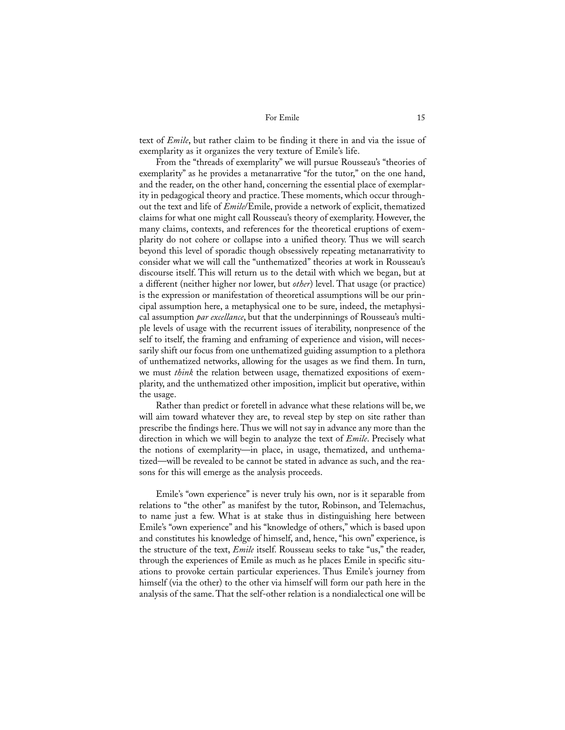text of *Emile*, but rather claim to be finding it there in and via the issue of exemplarity as it organizes the very texture of Emile's life.

From the "threads of exemplarity" we will pursue Rousseau's "theories of exemplarity" as he provides a metanarrative "for the tutor," on the one hand, and the reader, on the other hand, concerning the essential place of exemplarity in pedagogical theory and practice. These moments, which occur throughout the text and life of *Emile*/Emile, provide a network of explicit, thematized claims for what one might call Rousseau's theory of exemplarity. However, the many claims, contexts, and references for the theoretical eruptions of exemplarity do not cohere or collapse into a unified theory. Thus we will search beyond this level of sporadic though obsessively repeating metanarrativity to consider what we will call the "unthematized" theories at work in Rousseau's discourse itself. This will return us to the detail with which we began, but at a different (neither higher nor lower, but *other*) level. That usage (or practice) is the expression or manifestation of theoretical assumptions will be our principal assumption here, a metaphysical one to be sure, indeed, the metaphysical assumption *par excellance*, but that the underpinnings of Rousseau's multiple levels of usage with the recurrent issues of iterability, nonpresence of the self to itself, the framing and enframing of experience and vision, will necessarily shift our focus from one unthematized guiding assumption to a plethora of unthematized networks, allowing for the usages as we find them. In turn, we must *think* the relation between usage, thematized expositions of exemplarity, and the unthematized other imposition, implicit but operative, within the usage.

Rather than predict or foretell in advance what these relations will be, we will aim toward whatever they are, to reveal step by step on site rather than prescribe the findings here. Thus we will not say in advance any more than the direction in which we will begin to analyze the text of *Emile*. Precisely what the notions of exemplarity—in place, in usage, thematized, and unthematized—will be revealed to be cannot be stated in advance as such, and the reasons for this will emerge as the analysis proceeds.

Emile's "own experience" is never truly his own, nor is it separable from relations to "the other" as manifest by the tutor, Robinson, and Telemachus, to name just a few. What is at stake thus in distinguishing here between Emile's "own experience" and his "knowledge of others," which is based upon and constitutes his knowledge of himself, and, hence, "his own" experience, is the structure of the text, *Emile* itself. Rousseau seeks to take "us," the reader, through the experiences of Emile as much as he places Emile in specific situations to provoke certain particular experiences. Thus Emile's journey from himself (via the other) to the other via himself will form our path here in the analysis of the same. That the self-other relation is a nondialectical one will be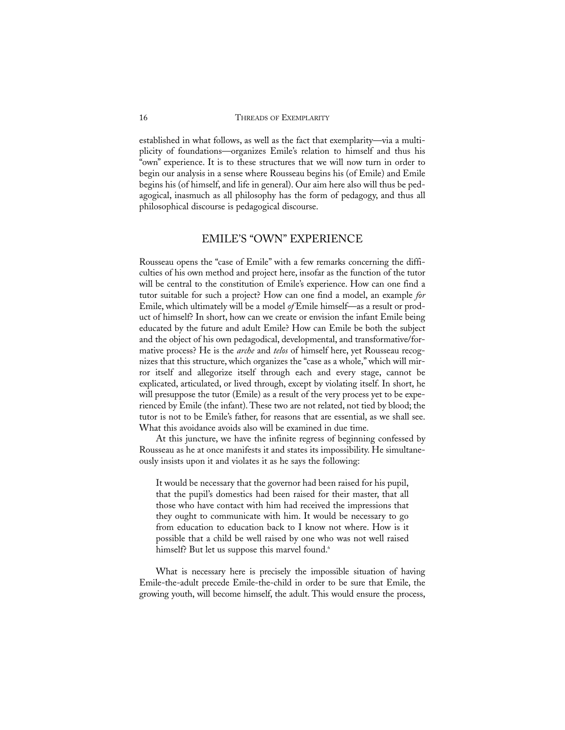established in what follows, as well as the fact that exemplarity—via a multiplicity of foundations—organizes Emile's relation to himself and thus his "own" experience. It is to these structures that we will now turn in order to begin our analysis in a sense where Rousseau begins his (of Emile) and Emile begins his (of himself, and life in general). Our aim here also will thus be pedagogical, inasmuch as all philosophy has the form of pedagogy, and thus all philosophical discourse is pedagogical discourse.

### EMILE'S "OWN" EXPERIENCE

Rousseau opens the "case of Emile" with a few remarks concerning the difficulties of his own method and project here, insofar as the function of the tutor will be central to the constitution of Emile's experience. How can one find a tutor suitable for such a project? How can one find a model, an example *for* Emile, which ultimately will be a model *of* Emile himself—as a result or product of himself? In short, how can we create or envision the infant Emile being educated by the future and adult Emile? How can Emile be both the subject and the object of his own pedagodical, developmental, and transformative/formative process? He is the *arche* and *telos* of himself here, yet Rousseau recognizes that this structure, which organizes the "case as a whole," which will mirror itself and allegorize itself through each and every stage, cannot be explicated, articulated, or lived through, except by violating itself. In short, he will presuppose the tutor (Emile) as a result of the very process yet to be experienced by Emile (the infant). These two are not related, not tied by blood; the tutor is not to be Emile's father, for reasons that are essential, as we shall see. What this avoidance avoids also will be examined in due time.

At this juncture, we have the infinite regress of beginning confessed by Rousseau as he at once manifests it and states its impossibility. He simultaneously insists upon it and violates it as he says the following:

It would be necessary that the governor had been raised for his pupil, that the pupil's domestics had been raised for their master, that all those who have contact with him had received the impressions that they ought to communicate with him. It would be necessary to go from education to education back to I know not where. How is it possible that a child be well raised by one who was not well raised himself? But let us suppose this marvel found.<sup>6</sup>

What is necessary here is precisely the impossible situation of having Emile-the-adult precede Emile-the-child in order to be sure that Emile, the growing youth, will become himself, the adult. This would ensure the process,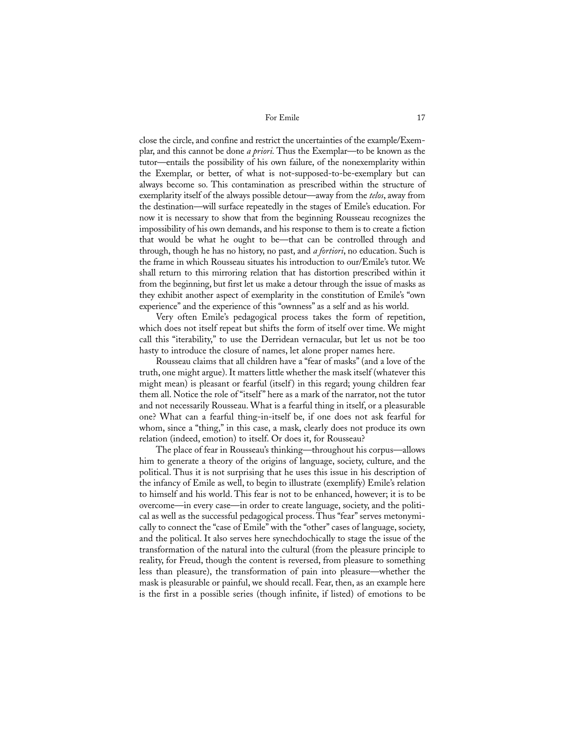close the circle, and confine and restrict the uncertainties of the example/Exemplar, and this cannot be done *a priori.* Thus the Exemplar—to be known as the tutor—entails the possibility of his own failure, of the nonexemplarity within the Exemplar, or better, of what is not-supposed-to-be-exemplary but can always become so. This contamination as prescribed within the structure of exemplarity itself of the always possible detour—away from the *telos*, away from the destination—will surface repeatedly in the stages of Emile's education. For now it is necessary to show that from the beginning Rousseau recognizes the impossibility of his own demands, and his response to them is to create a fiction that would be what he ought to be—that can be controlled through and through, though he has no history, no past, and *a fortiori*, no education. Such is the frame in which Rousseau situates his introduction to our/Emile's tutor. We shall return to this mirroring relation that has distortion prescribed within it from the beginning, but first let us make a detour through the issue of masks as they exhibit another aspect of exemplarity in the constitution of Emile's "own experience" and the experience of this "ownness" as a self and as his world.

Very often Emile's pedagogical process takes the form of repetition, which does not itself repeat but shifts the form of itself over time. We might call this "iterability," to use the Derridean vernacular, but let us not be too hasty to introduce the closure of names, let alone proper names here.

Rousseau claims that all children have a "fear of masks" (and a love of the truth, one might argue). It matters little whether the mask itself (whatever this might mean) is pleasant or fearful (itself) in this regard; young children fear them all. Notice the role of "itself " here as a mark of the narrator, not the tutor and not necessarily Rousseau. What is a fearful thing in itself, or a pleasurable one? What can a fearful thing-in-itself be, if one does not ask fearful for whom, since a "thing," in this case, a mask, clearly does not produce its own relation (indeed, emotion) to itself. Or does it, for Rousseau?

The place of fear in Rousseau's thinking—throughout his corpus—allows him to generate a theory of the origins of language, society, culture, and the political. Thus it is not surprising that he uses this issue in his description of the infancy of Emile as well, to begin to illustrate (exemplify) Emile's relation to himself and his world. This fear is not to be enhanced, however; it is to be overcome—in every case—in order to create language, society, and the political as well as the successful pedagogical process. Thus "fear" serves metonymically to connect the "case of Emile" with the "other" cases of language, society, and the political. It also serves here synechdochically to stage the issue of the transformation of the natural into the cultural (from the pleasure principle to reality, for Freud, though the content is reversed, from pleasure to something less than pleasure), the transformation of pain into pleasure—whether the mask is pleasurable or painful, we should recall. Fear, then, as an example here is the first in a possible series (though infinite, if listed) of emotions to be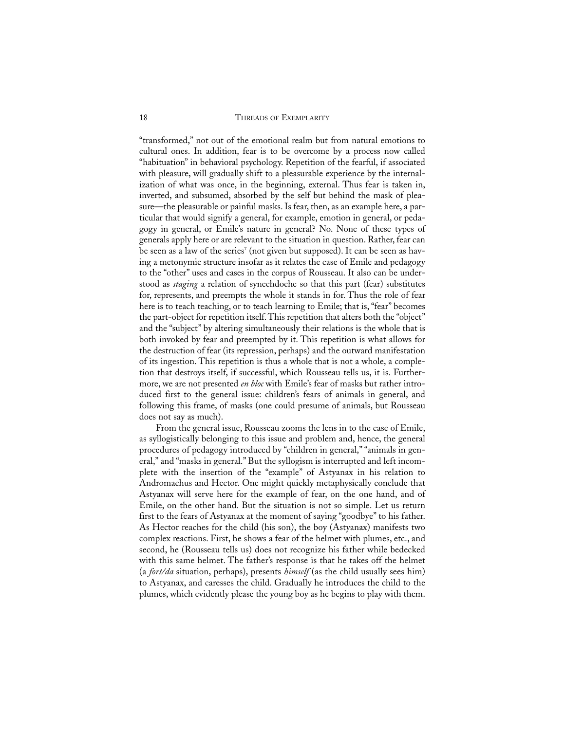"transformed," not out of the emotional realm but from natural emotions to cultural ones. In addition, fear is to be overcome by a process now called "habituation" in behavioral psychology. Repetition of the fearful, if associated with pleasure, will gradually shift to a pleasurable experience by the internalization of what was once, in the beginning, external. Thus fear is taken in, inverted, and subsumed, absorbed by the self but behind the mask of pleasure—the pleasurable or painful masks. Is fear, then, as an example here, a particular that would signify a general, for example, emotion in general, or pedagogy in general, or Emile's nature in general? No. None of these types of generals apply here or are relevant to the situation in question. Rather, fear can be seen as a law of the series<sup>7</sup> (not given but supposed). It can be seen as having a metonymic structure insofar as it relates the case of Emile and pedagogy to the "other" uses and cases in the corpus of Rousseau. It also can be understood as *staging* a relation of synechdoche so that this part (fear) substitutes for, represents, and preempts the whole it stands in for. Thus the role of fear here is to teach teaching, or to teach learning to Emile; that is, "fear" becomes the part-object for repetition itself. This repetition that alters both the "object" and the "subject" by altering simultaneously their relations is the whole that is both invoked by fear and preempted by it. This repetition is what allows for the destruction of fear (its repression, perhaps) and the outward manifestation of its ingestion. This repetition is thus a whole that is not a whole, a completion that destroys itself, if successful, which Rousseau tells us, it is. Furthermore, we are not presented *en bloc* with Emile's fear of masks but rather introduced first to the general issue: children's fears of animals in general, and following this frame, of masks (one could presume of animals, but Rousseau does not say as much).

From the general issue, Rousseau zooms the lens in to the case of Emile, as syllogistically belonging to this issue and problem and, hence, the general procedures of pedagogy introduced by "children in general," "animals in general," and "masks in general." But the syllogism is interrupted and left incomplete with the insertion of the "example" of Astyanax in his relation to Andromachus and Hector. One might quickly metaphysically conclude that Astyanax will serve here for the example of fear, on the one hand, and of Emile, on the other hand. But the situation is not so simple. Let us return first to the fears of Astyanax at the moment of saying "goodbye" to his father. As Hector reaches for the child (his son), the boy (Astyanax) manifests two complex reactions. First, he shows a fear of the helmet with plumes, etc., and second, he (Rousseau tells us) does not recognize his father while bedecked with this same helmet. The father's response is that he takes off the helmet (a *fort/da* situation, perhaps), presents *himself* (as the child usually sees him) to Astyanax, and caresses the child. Gradually he introduces the child to the plumes, which evidently please the young boy as he begins to play with them.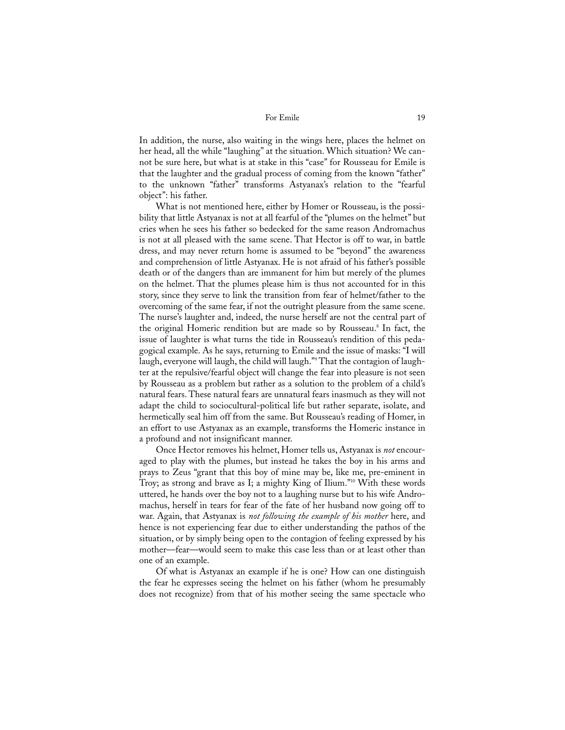In addition, the nurse, also waiting in the wings here, places the helmet on her head, all the while "laughing" at the situation. Which situation? We cannot be sure here, but what is at stake in this "case" for Rousseau for Emile is that the laughter and the gradual process of coming from the known "father" to the unknown "father" transforms Astyanax's relation to the "fearful object": his father.

What is not mentioned here, either by Homer or Rousseau, is the possibility that little Astyanax is not at all fearful of the "plumes on the helmet" but cries when he sees his father so bedecked for the same reason Andromachus is not at all pleased with the same scene. That Hector is off to war, in battle dress, and may never return home is assumed to be "beyond" the awareness and comprehension of little Astyanax. He is not afraid of his father's possible death or of the dangers than are immanent for him but merely of the plumes on the helmet. That the plumes please him is thus not accounted for in this story, since they serve to link the transition from fear of helmet/father to the overcoming of the same fear, if not the outright pleasure from the same scene. The nurse's laughter and, indeed, the nurse herself are not the central part of the original Homeric rendition but are made so by Rousseau.<sup>8</sup> In fact, the issue of laughter is what turns the tide in Rousseau's rendition of this pedagogical example. As he says, returning to Emile and the issue of masks: "I will laugh, everyone will laugh, the child will laugh."9 That the contagion of laughter at the repulsive/fearful object will change the fear into pleasure is not seen by Rousseau as a problem but rather as a solution to the problem of a child's natural fears. These natural fears are unnatural fears inasmuch as they will not adapt the child to sociocultural-political life but rather separate, isolate, and hermetically seal him off from the same. But Rousseau's reading of Homer, in an effort to use Astyanax as an example, transforms the Homeric instance in a profound and not insignificant manner.

Once Hector removes his helmet, Homer tells us, Astyanax is *not* encouraged to play with the plumes, but instead he takes the boy in his arms and prays to Zeus "grant that this boy of mine may be, like me, pre-eminent in Troy; as strong and brave as I; a mighty King of Ilium."10 With these words uttered, he hands over the boy not to a laughing nurse but to his wife Andromachus, herself in tears for fear of the fate of her husband now going off to war. Again, that Astyanax is *not following the example of his mother* here, and hence is not experiencing fear due to either understanding the pathos of the situation, or by simply being open to the contagion of feeling expressed by his mother—fear—would seem to make this case less than or at least other than one of an example.

Of what is Astyanax an example if he is one? How can one distinguish the fear he expresses seeing the helmet on his father (whom he presumably does not recognize) from that of his mother seeing the same spectacle who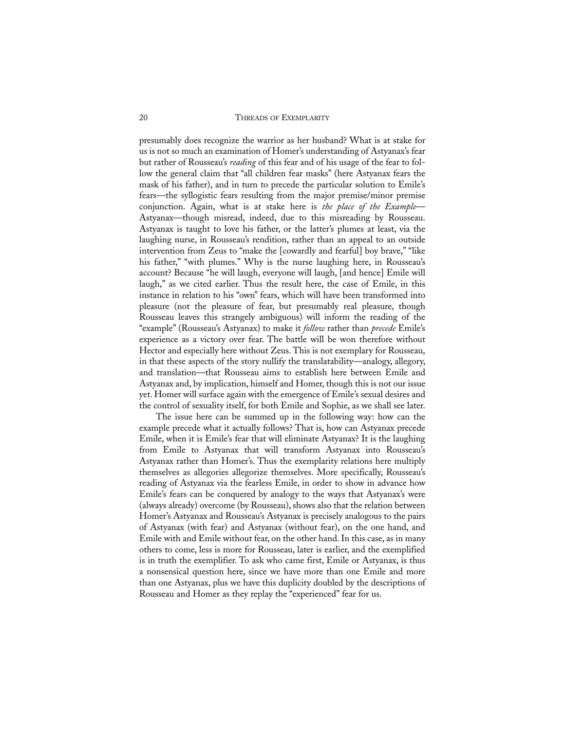presumably does recognize the warrior as her husband? What is at stake for us is not so much an examination of Homer's understanding of Astyanax's fear but rather of Rousseau's *reading* of this fear and of his usage of the fear to follow the general claim that "all children fear masks" (here Astyanax fears the mask of his father), and in turn to precede the particular solution to Emile's fears—the syllogistic fears resulting from the major premise/minor premise conjunction. Again, what is at stake here is *the place of the Example*— Astyanax—though misread, indeed, due to this misreading by Rousseau. Astyanax is taught to love his father, or the latter's plumes at least, via the laughing nurse, in Rousseau's rendition, rather than an appeal to an outside intervention from Zeus to "make the [cowardly and fearful] boy brave," "like his father," "with plumes." Why is the nurse laughing here, in Rousseau's account? Because "he will laugh, everyone will laugh, [and hence] Emile will laugh," as we cited earlier. Thus the result here, the case of Emile, in this instance in relation to his "own" fears, which will have been transformed into pleasure (not the pleasure of fear, but presumably real pleasure, though Rousseau leaves this strangely ambiguous) will inform the reading of the "example" (Rousseau's Astyanax) to make it *follow* rather than *precede* Emile's experience as a victory over fear. The battle will be won therefore without Hector and especially here without Zeus. This is not exemplary for Rousseau, in that these aspects of the story nullify the translatability—analogy, allegory, and translation—that Rousseau aims to establish here between Emile and Astyanax and, by implication, himself and Homer, though this is not our issue yet. Homer will surface again with the emergence of Emile's sexual desires and the control of sexuality itself, for both Emile and Sophie, as we shall see later.

The issue here can be summed up in the following way: how can the example precede what it actually follows? That is, how can Astyanax precede Emile, when it is Emile's fear that will eliminate Astyanax? It is the laughing from Emile to Astyanax that will transform Astyanax into Rousseau's Astyanax rather than Homer's. Thus the exemplarity relations here multiply themselves as allegories allegorize themselves. More specifically, Rousseau's reading of Astyanax via the fearless Emile, in order to show in advance how Emile's fears can be conquered by analogy to the ways that Astyanax's were (always already) overcome (by Rousseau), shows also that the relation between Homer's Astyanax and Rousseau's Astyanax is precisely analogous to the pairs of Astyanax (with fear) and Astyanax (without fear), on the one hand, and Emile with and Emile without fear, on the other hand. In this case, as in many others to come, less is more for Rousseau, later is earlier, and the exemplified is in truth the exemplifier. To ask who came first, Emile or Astyanax, is thus a nonsensical question here, since we have more than one Emile and more than one Astyanax, plus we have this duplicity doubled by the descriptions of Rousseau and Homer as they replay the "experienced" fear for us.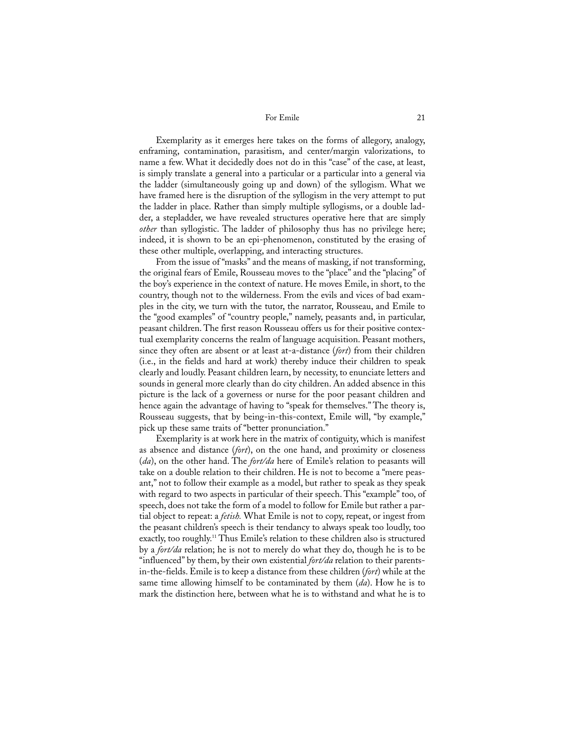Exemplarity as it emerges here takes on the forms of allegory, analogy, enframing, contamination, parasitism, and center/margin valorizations, to name a few. What it decidedly does not do in this "case" of the case, at least, is simply translate a general into a particular or a particular into a general via the ladder (simultaneously going up and down) of the syllogism. What we have framed here is the disruption of the syllogism in the very attempt to put the ladder in place. Rather than simply multiple syllogisms, or a double ladder, a stepladder, we have revealed structures operative here that are simply *other* than syllogistic. The ladder of philosophy thus has no privilege here; indeed, it is shown to be an epi-phenomenon, constituted by the erasing of these other multiple, overlapping, and interacting structures.

From the issue of "masks" and the means of masking, if not transforming, the original fears of Emile, Rousseau moves to the "place" and the "placing" of the boy's experience in the context of nature. He moves Emile, in short, to the country, though not to the wilderness. From the evils and vices of bad examples in the city, we turn with the tutor, the narrator, Rousseau, and Emile to the "good examples" of "country people," namely, peasants and, in particular, peasant children. The first reason Rousseau offers us for their positive contextual exemplarity concerns the realm of language acquisition. Peasant mothers, since they often are absent or at least at-a-distance (*fort*) from their children (i.e., in the fields and hard at work) thereby induce their children to speak clearly and loudly. Peasant children learn, by necessity, to enunciate letters and sounds in general more clearly than do city children. An added absence in this picture is the lack of a governess or nurse for the poor peasant children and hence again the advantage of having to "speak for themselves." The theory is, Rousseau suggests, that by being-in-this-context, Emile will, "by example," pick up these same traits of "better pronunciation."

Exemplarity is at work here in the matrix of contiguity, which is manifest as absence and distance (*fort*), on the one hand, and proximity or closeness (*da*), on the other hand. The *fort/da* here of Emile's relation to peasants will take on a double relation to their children. He is not to become a "mere peasant," not to follow their example as a model, but rather to speak as they speak with regard to two aspects in particular of their speech. This "example" too, of speech, does not take the form of a model to follow for Emile but rather a partial object to repeat: a *fetish.* What Emile is not to copy, repeat, or ingest from the peasant children's speech is their tendancy to always speak too loudly, too exactly, too roughly.<sup>11</sup> Thus Emile's relation to these children also is structured by a *fort/da* relation; he is not to merely do what they do, though he is to be "influenced" by them, by their own existential *fort/da* relation to their parentsin-the-fields. Emile is to keep a distance from these children (*fort*) while at the same time allowing himself to be contaminated by them (*da*). How he is to mark the distinction here, between what he is to withstand and what he is to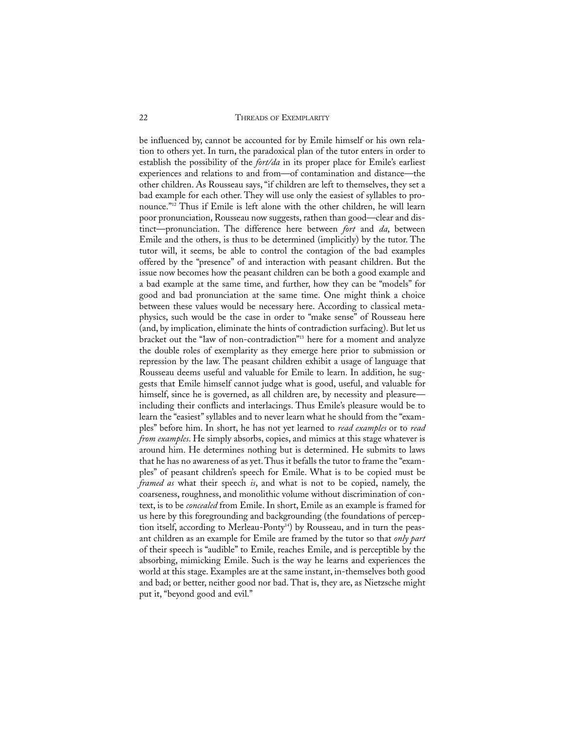be influenced by, cannot be accounted for by Emile himself or his own relation to others yet. In turn, the paradoxical plan of the tutor enters in order to establish the possibility of the *fort/da* in its proper place for Emile's earliest experiences and relations to and from—of contamination and distance—the other children. As Rousseau says, "if children are left to themselves, they set a bad example for each other. They will use only the easiest of syllables to pronounce."<sup>12</sup> Thus if Emile is left alone with the other children, he will learn poor pronunciation, Rousseau now suggests, rathen than good—clear and distinct—pronunciation. The difference here between *fort* and *da*, between Emile and the others, is thus to be determined (implicitly) by the tutor. The tutor will, it seems, be able to control the contagion of the bad examples offered by the "presence" of and interaction with peasant children. But the issue now becomes how the peasant children can be both a good example and a bad example at the same time, and further, how they can be "models" for good and bad pronunciation at the same time. One might think a choice between these values would be necessary here. According to classical metaphysics, such would be the case in order to "make sense" of Rousseau here (and, by implication, eliminate the hints of contradiction surfacing). But let us bracket out the "law of non-contradiction"13 here for a moment and analyze the double roles of exemplarity as they emerge here prior to submission or repression by the law. The peasant children exhibit a usage of language that Rousseau deems useful and valuable for Emile to learn. In addition, he suggests that Emile himself cannot judge what is good, useful, and valuable for himself, since he is governed, as all children are, by necessity and pleasure including their conflicts and interlacings. Thus Emile's pleasure would be to learn the "easiest" syllables and to never learn what he should from the "examples" before him. In short, he has not yet learned to *read examples* or to *read from examples*. He simply absorbs, copies, and mimics at this stage whatever is around him. He determines nothing but is determined. He submits to laws that he has no awareness of as yet. Thus it befalls the tutor to frame the "examples" of peasant children's speech for Emile. What is to be copied must be *framed as* what their speech *is*, and what is not to be copied, namely, the coarseness, roughness, and monolithic volume without discrimination of context, is to be *concealed* from Emile. In short, Emile as an example is framed for us here by this foregrounding and backgrounding (the foundations of perception itself, according to Merleau-Ponty<sup>14</sup>) by Rousseau, and in turn the peasant children as an example for Emile are framed by the tutor so that *only part* of their speech is "audible" to Emile, reaches Emile, and is perceptible by the absorbing, mimicking Emile. Such is the way he learns and experiences the world at this stage. Examples are at the same instant, in-themselves both good and bad; or better, neither good nor bad. That is, they are, as Nietzsche might put it, "beyond good and evil."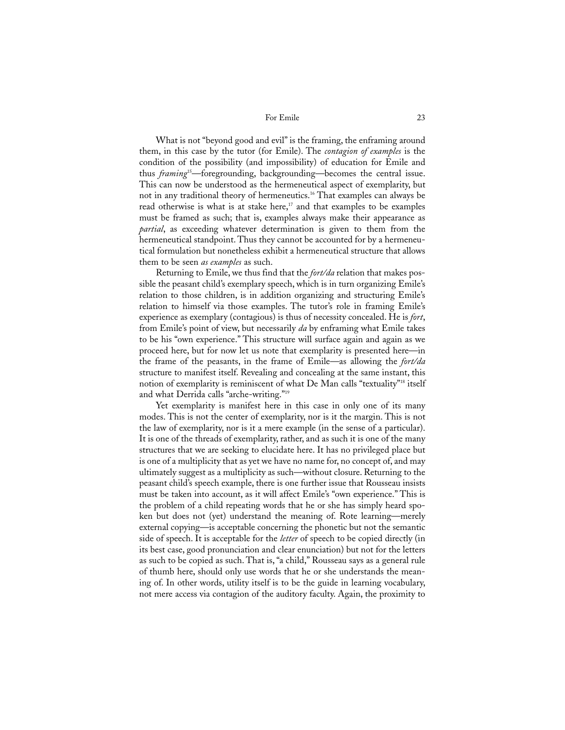What is not "beyond good and evil" is the framing, the enframing around them, in this case by the tutor (for Emile). The *contagion of examples* is the condition of the possibility (and impossibility) of education for Emile and thus *framing*15—foregrounding, backgrounding—becomes the central issue. This can now be understood as the hermeneutical aspect of exemplarity, but not in any traditional theory of hermeneutics.16 That examples can always be read otherwise is what is at stake here,<sup>17</sup> and that examples to be examples must be framed as such; that is, examples always make their appearance as *partial*, as exceeding whatever determination is given to them from the hermeneutical standpoint. Thus they cannot be accounted for by a hermeneutical formulation but nonetheless exhibit a hermeneutical structure that allows them to be seen *as examples* as such.

Returning to Emile, we thus find that the *fort/da* relation that makes possible the peasant child's exemplary speech, which is in turn organizing Emile's relation to those children, is in addition organizing and structuring Emile's relation to himself via those examples. The tutor's role in framing Emile's experience as exemplary (contagious) is thus of necessity concealed. He is *fort*, from Emile's point of view, but necessarily *da* by enframing what Emile takes to be his "own experience." This structure will surface again and again as we proceed here, but for now let us note that exemplarity is presented here—in the frame of the peasants, in the frame of Emile—as allowing the *fort/da* structure to manifest itself. Revealing and concealing at the same instant, this notion of exemplarity is reminiscent of what De Man calls "textuality"18 itself and what Derrida calls "arche-writing."19

Yet exemplarity is manifest here in this case in only one of its many modes. This is not the center of exemplarity, nor is it the margin. This is not the law of exemplarity, nor is it a mere example (in the sense of a particular). It is one of the threads of exemplarity, rather, and as such it is one of the many structures that we are seeking to elucidate here. It has no privileged place but is one of a multiplicity that as yet we have no name for, no concept of, and may ultimately suggest as a multiplicity as such—without closure. Returning to the peasant child's speech example, there is one further issue that Rousseau insists must be taken into account, as it will affect Emile's "own experience." This is the problem of a child repeating words that he or she has simply heard spoken but does not (yet) understand the meaning of. Rote learning—merely external copying—is acceptable concerning the phonetic but not the semantic side of speech. It is acceptable for the *letter* of speech to be copied directly (in its best case, good pronunciation and clear enunciation) but not for the letters as such to be copied as such. That is, "a child," Rousseau says as a general rule of thumb here, should only use words that he or she understands the meaning of. In other words, utility itself is to be the guide in learning vocabulary, not mere access via contagion of the auditory faculty. Again, the proximity to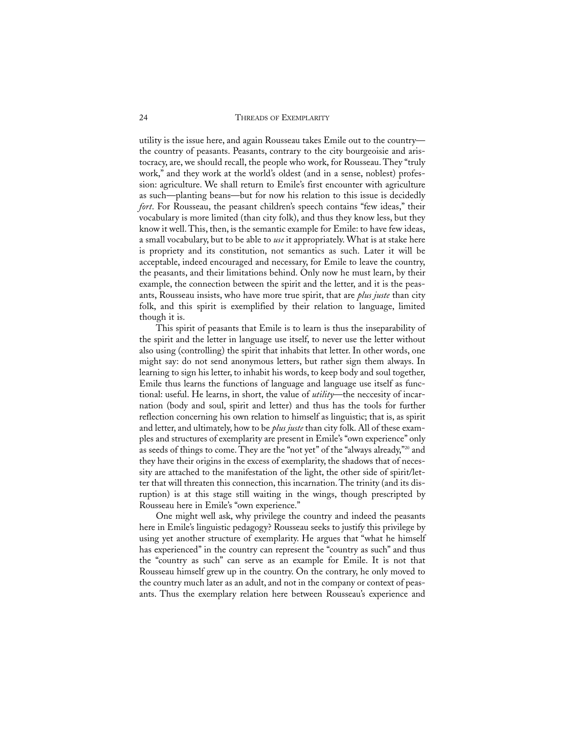utility is the issue here, and again Rousseau takes Emile out to the country the country of peasants. Peasants, contrary to the city bourgeoisie and aristocracy, are, we should recall, the people who work, for Rousseau. They "truly work," and they work at the world's oldest (and in a sense, noblest) profession: agriculture. We shall return to Emile's first encounter with agriculture as such—planting beans—but for now his relation to this issue is decidedly *fort*. For Rousseau, the peasant children's speech contains "few ideas," their vocabulary is more limited (than city folk), and thus they know less, but they know it well. This, then, is the semantic example for Emile: to have few ideas, a small vocabulary, but to be able to *use* it appropriately. What is at stake here is propriety and its constitution, not semantics as such. Later it will be acceptable, indeed encouraged and necessary, for Emile to leave the country, the peasants, and their limitations behind. Only now he must learn, by their example, the connection between the spirit and the letter, and it is the peasants, Rousseau insists, who have more true spirit, that are *plus juste* than city folk, and this spirit is exemplified by their relation to language, limited though it is.

This spirit of peasants that Emile is to learn is thus the inseparability of the spirit and the letter in language use itself, to never use the letter without also using (controlling) the spirit that inhabits that letter. In other words, one might say: do not send anonymous letters, but rather sign them always. In learning to sign his letter, to inhabit his words, to keep body and soul together, Emile thus learns the functions of language and language use itself as functional: useful. He learns, in short, the value of *utility*—the neccesity of incarnation (body and soul, spirit and letter) and thus has the tools for further reflection concerning his own relation to himself as linguistic; that is, as spirit and letter, and ultimately, how to be *plus juste* than city folk. All of these examples and structures of exemplarity are present in Emile's "own experience" only as seeds of things to come. They are the "not yet" of the "always already,"<sup>20</sup> and they have their origins in the excess of exemplarity, the shadows that of necessity are attached to the manifestation of the light, the other side of spirit/letter that will threaten this connection, this incarnation. The trinity (and its disruption) is at this stage still waiting in the wings, though prescripted by Rousseau here in Emile's "own experience."

One might well ask, why privilege the country and indeed the peasants here in Emile's linguistic pedagogy? Rousseau seeks to justify this privilege by using yet another structure of exemplarity. He argues that "what he himself has experienced" in the country can represent the "country as such" and thus the "country as such" can serve as an example for Emile. It is not that Rousseau himself grew up in the country. On the contrary, he only moved to the country much later as an adult, and not in the company or context of peasants. Thus the exemplary relation here between Rousseau's experience and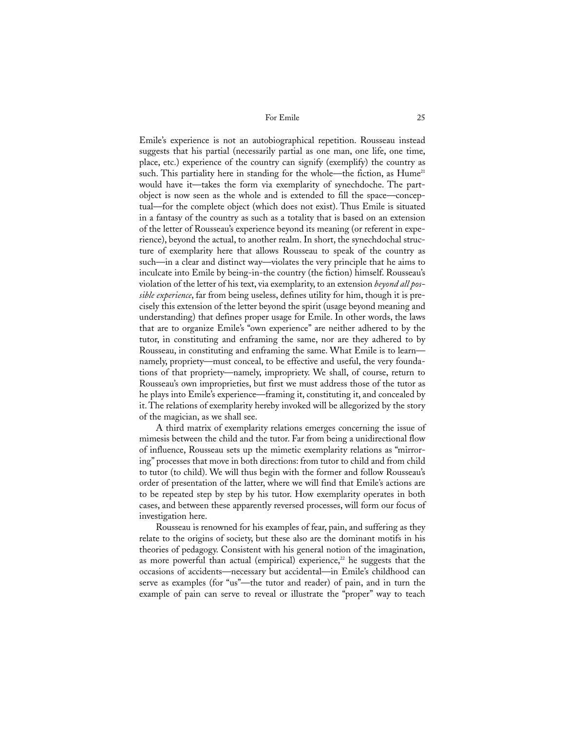Emile's experience is not an autobiographical repetition. Rousseau instead suggests that his partial (necessarily partial as one man, one life, one time, place, etc.) experience of the country can signify (exemplify) the country as such. This partiality here in standing for the whole—the fiction, as  $Hume^{21}$ would have it—takes the form via exemplarity of synechdoche. The partobject is now seen as the whole and is extended to fill the space—conceptual—for the complete object (which does not exist). Thus Emile is situated in a fantasy of the country as such as a totality that is based on an extension of the letter of Rousseau's experience beyond its meaning (or referent in experience), beyond the actual, to another realm. In short, the synechdochal structure of exemplarity here that allows Rousseau to speak of the country as such—in a clear and distinct way—violates the very principle that he aims to inculcate into Emile by being-in-the country (the fiction) himself. Rousseau's violation of the letter of his text, via exemplarity, to an extension *beyond all possible experience*, far from being useless, defines utility for him, though it is precisely this extension of the letter beyond the spirit (usage beyond meaning and understanding) that defines proper usage for Emile. In other words, the laws that are to organize Emile's "own experience" are neither adhered to by the tutor, in constituting and enframing the same, nor are they adhered to by Rousseau, in constituting and enframing the same. What Emile is to learn namely, propriety—must conceal, to be effective and useful, the very foundations of that propriety—namely, impropriety. We shall, of course, return to Rousseau's own improprieties, but first we must address those of the tutor as he plays into Emile's experience—framing it, constituting it, and concealed by it. The relations of exemplarity hereby invoked will be allegorized by the story of the magician, as we shall see.

A third matrix of exemplarity relations emerges concerning the issue of mimesis between the child and the tutor. Far from being a unidirectional flow of influence, Rousseau sets up the mimetic exemplarity relations as "mirroring" processes that move in both directions: from tutor to child and from child to tutor (to child). We will thus begin with the former and follow Rousseau's order of presentation of the latter, where we will find that Emile's actions are to be repeated step by step by his tutor. How exemplarity operates in both cases, and between these apparently reversed processes, will form our focus of investigation here.

Rousseau is renowned for his examples of fear, pain, and suffering as they relate to the origins of society, but these also are the dominant motifs in his theories of pedagogy. Consistent with his general notion of the imagination, as more powerful than actual (empirical) experience, $22$  he suggests that the occasions of accidents—necessary but accidental—in Emile's childhood can serve as examples (for "us"—the tutor and reader) of pain, and in turn the example of pain can serve to reveal or illustrate the "proper" way to teach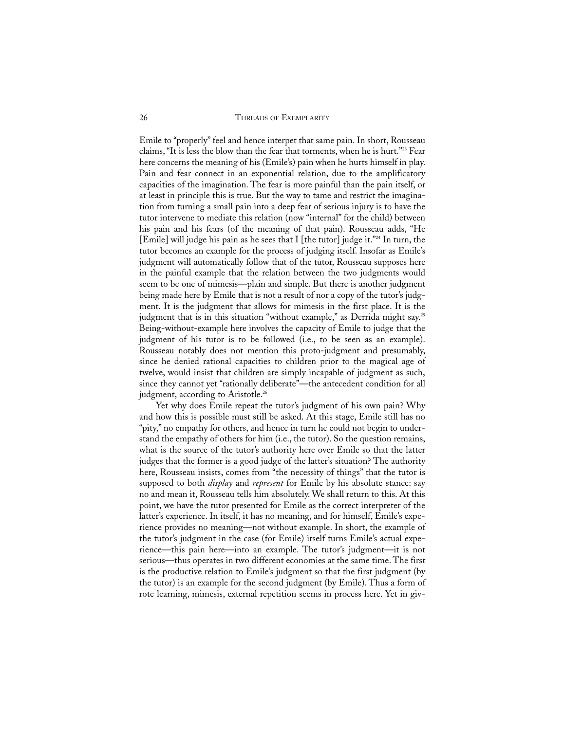Emile to "properly" feel and hence interpet that same pain. In short, Rousseau claims, "It is less the blow than the fear that torments, when he is hurt."23 Fear here concerns the meaning of his (Emile's) pain when he hurts himself in play. Pain and fear connect in an exponential relation, due to the amplificatory capacities of the imagination. The fear is more painful than the pain itself, or at least in principle this is true. But the way to tame and restrict the imagination from turning a small pain into a deep fear of serious injury is to have the tutor intervene to mediate this relation (now "internal" for the child) between his pain and his fears (of the meaning of that pain). Rousseau adds, "He [Emile] will judge his pain as he sees that I [the tutor] judge it."24 In turn, the tutor becomes an example for the process of judging itself. Insofar as Emile's judgment will automatically follow that of the tutor, Rousseau supposes here in the painful example that the relation between the two judgments would seem to be one of mimesis—plain and simple. But there is another judgment being made here by Emile that is not a result of nor a copy of the tutor's judgment. It is the judgment that allows for mimesis in the first place. It is the judgment that is in this situation "without example," as Derrida might say.<sup>25</sup> Being-without-example here involves the capacity of Emile to judge that the judgment of his tutor is to be followed (i.e., to be seen as an example). Rousseau notably does not mention this proto-judgment and presumably, since he denied rational capacities to children prior to the magical age of twelve, would insist that children are simply incapable of judgment as such, since they cannot yet "rationally deliberate"—the antecedent condition for all judgment, according to Aristotle.<sup>26</sup>

Yet why does Emile repeat the tutor's judgment of his own pain? Why and how this is possible must still be asked. At this stage, Emile still has no "pity," no empathy for others, and hence in turn he could not begin to understand the empathy of others for him (i.e., the tutor). So the question remains, what is the source of the tutor's authority here over Emile so that the latter judges that the former is a good judge of the latter's situation? The authority here, Rousseau insists, comes from "the necessity of things" that the tutor is supposed to both *display* and *represent* for Emile by his absolute stance: say no and mean it, Rousseau tells him absolutely. We shall return to this. At this point, we have the tutor presented for Emile as the correct interpreter of the latter's experience. In itself, it has no meaning, and for himself, Emile's experience provides no meaning—not without example. In short, the example of the tutor's judgment in the case (for Emile) itself turns Emile's actual experience—this pain here—into an example. The tutor's judgment—it is not serious—thus operates in two different economies at the same time. The first is the productive relation to Emile's judgment so that the first judgment (by the tutor) is an example for the second judgment (by Emile). Thus a form of rote learning, mimesis, external repetition seems in process here. Yet in giv-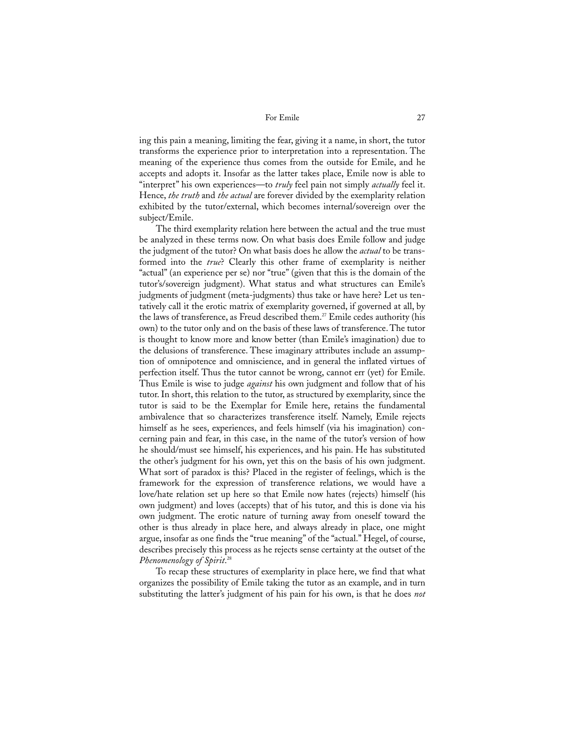ing this pain a meaning, limiting the fear, giving it a name, in short, the tutor transforms the experience prior to interpretation into a representation. The meaning of the experience thus comes from the outside for Emile, and he accepts and adopts it. Insofar as the latter takes place, Emile now is able to "interpret" his own experiences—to *truly* feel pain not simply *actually* feel it. Hence, *the truth* and *the actual* are forever divided by the exemplarity relation exhibited by the tutor/external, which becomes internal/sovereign over the subject/Emile.

The third exemplarity relation here between the actual and the true must be analyzed in these terms now. On what basis does Emile follow and judge the judgment of the tutor? On what basis does he allow the *actual* to be transformed into the *true*? Clearly this other frame of exemplarity is neither "actual" (an experience per se) nor "true" (given that this is the domain of the tutor's/sovereign judgment). What status and what structures can Emile's judgments of judgment (meta-judgments) thus take or have here? Let us tentatively call it the erotic matrix of exemplarity governed, if governed at all, by the laws of transference, as Freud described them.27 Emile cedes authority (his own) to the tutor only and on the basis of these laws of transference. The tutor is thought to know more and know better (than Emile's imagination) due to the delusions of transference. These imaginary attributes include an assumption of omnipotence and omniscience, and in general the inflated virtues of perfection itself. Thus the tutor cannot be wrong, cannot err (yet) for Emile. Thus Emile is wise to judge *against* his own judgment and follow that of his tutor. In short, this relation to the tutor, as structured by exemplarity, since the tutor is said to be the Exemplar for Emile here, retains the fundamental ambivalence that so characterizes transference itself. Namely, Emile rejects himself as he sees, experiences, and feels himself (via his imagination) concerning pain and fear, in this case, in the name of the tutor's version of how he should/must see himself, his experiences, and his pain. He has substituted the other's judgment for his own, yet this on the basis of his own judgment. What sort of paradox is this? Placed in the register of feelings, which is the framework for the expression of transference relations, we would have a love/hate relation set up here so that Emile now hates (rejects) himself (his own judgment) and loves (accepts) that of his tutor, and this is done via his own judgment. The erotic nature of turning away from oneself toward the other is thus already in place here, and always already in place, one might argue, insofar as one finds the "true meaning" of the "actual." Hegel, of course, describes precisely this process as he rejects sense certainty at the outset of the *Phenomenology of Spirit*. 28

To recap these structures of exemplarity in place here, we find that what organizes the possibility of Emile taking the tutor as an example, and in turn substituting the latter's judgment of his pain for his own, is that he does *not*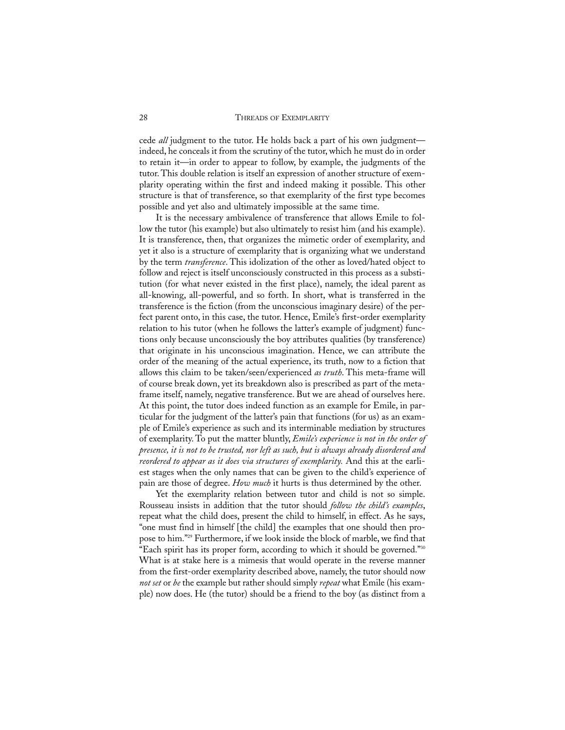cede *all* judgment to the tutor. He holds back a part of his own judgment indeed, he conceals it from the scrutiny of the tutor, which he must do in order to retain it—in order to appear to follow, by example, the judgments of the tutor. This double relation is itself an expression of another structure of exemplarity operating within the first and indeed making it possible. This other structure is that of transference, so that exemplarity of the first type becomes possible and yet also and ultimately impossible at the same time.

It is the necessary ambivalence of transference that allows Emile to follow the tutor (his example) but also ultimately to resist him (and his example). It is transference, then, that organizes the mimetic order of exemplarity, and yet it also is a structure of exemplarity that is organizing what we understand by the term *transference*. This idolization of the other as loved/hated object to follow and reject is itself unconsciously constructed in this process as a substitution (for what never existed in the first place), namely, the ideal parent as all-knowing, all-powerful, and so forth. In short, what is transferred in the transference is the fiction (from the unconscious imaginary desire) of the perfect parent onto, in this case, the tutor. Hence, Emile's first-order exemplarity relation to his tutor (when he follows the latter's example of judgment) functions only because unconsciously the boy attributes qualities (by transference) that originate in his unconscious imagination. Hence, we can attribute the order of the meaning of the actual experience, its truth, now to a fiction that allows this claim to be taken/seen/experienced *as truth*. This meta-frame will of course break down, yet its breakdown also is prescribed as part of the metaframe itself, namely, negative transference. But we are ahead of ourselves here. At this point, the tutor does indeed function as an example for Emile, in particular for the judgment of the latter's pain that functions (for us) as an example of Emile's experience as such and its interminable mediation by structures of exemplarity. To put the matter bluntly, *Emile's experience is not in the order of presence, it is not to be trusted, nor left as such, but is always already disordered and reordered to appear as it does via structures of exemplarity.* And this at the earliest stages when the only names that can be given to the child's experience of pain are those of degree. *How much* it hurts is thus determined by the other.

Yet the exemplarity relation between tutor and child is not so simple. Rousseau insists in addition that the tutor should *follow the child's examples*, repeat what the child does, present the child to himself, in effect. As he says, "one must find in himself [the child] the examples that one should then propose to him."29 Furthermore, if we look inside the block of marble, we find that "Each spirit has its proper form, according to which it should be governed."30 What is at stake here is a mimesis that would operate in the reverse manner from the first-order exemplarity described above, namely, the tutor should now *not set* or *be* the example but rather should simply *repeat* what Emile (his example) now does. He (the tutor) should be a friend to the boy (as distinct from a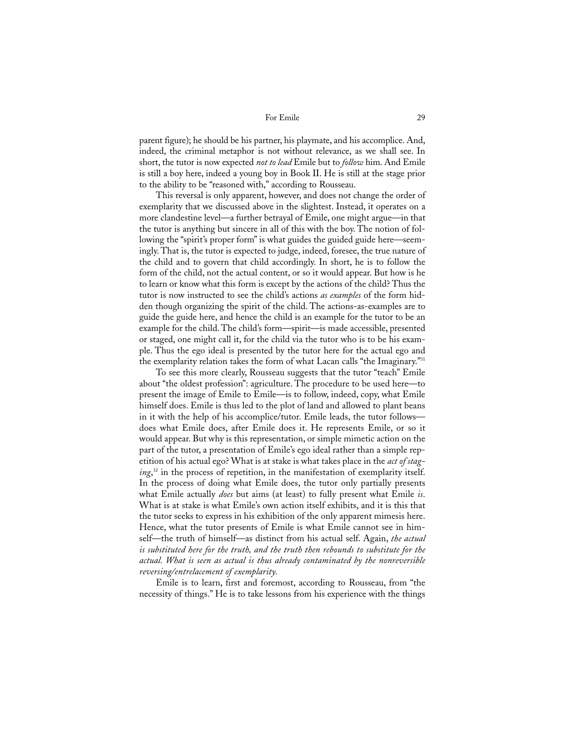parent figure); he should be his partner, his playmate, and his accomplice. And, indeed, the criminal metaphor is not without relevance, as we shall see. In short, the tutor is now expected *not to lead* Emile but to *follow* him. And Emile is still a boy here, indeed a young boy in Book II. He is still at the stage prior to the ability to be "reasoned with," according to Rousseau.

This reversal is only apparent, however, and does not change the order of exemplarity that we discussed above in the slightest. Instead, it operates on a more clandestine level—a further betrayal of Emile, one might argue—in that the tutor is anything but sincere in all of this with the boy. The notion of following the "spirit's proper form" is what guides the guided guide here—seemingly. That is, the tutor is expected to judge, indeed, foresee, the true nature of the child and to govern that child accordingly. In short, he is to follow the form of the child, not the actual content, or so it would appear. But how is he to learn or know what this form is except by the actions of the child? Thus the tutor is now instructed to see the child's actions *as examples* of the form hidden though organizing the spirit of the child. The actions-as-examples are to guide the guide here, and hence the child is an example for the tutor to be an example for the child. The child's form—spirit—is made accessible, presented or staged, one might call it, for the child via the tutor who is to be his example. Thus the ego ideal is presented by the tutor here for the actual ego and the exemplarity relation takes the form of what Lacan calls "the Imaginary."31

To see this more clearly, Rousseau suggests that the tutor "teach" Emile about "the oldest profession": agriculture. The procedure to be used here—to present the image of Emile to Emile—is to follow, indeed, copy, what Emile himself does. Emile is thus led to the plot of land and allowed to plant beans in it with the help of his accomplice/tutor. Emile leads, the tutor follows does what Emile does, after Emile does it. He represents Emile, or so it would appear. But why is this representation, or simple mimetic action on the part of the tutor, a presentation of Emile's ego ideal rather than a simple repetition of his actual ego? What is at stake is what takes place in the *act of staging*, <sup>32</sup> in the process of repetition, in the manifestation of exemplarity itself. In the process of doing what Emile does, the tutor only partially presents what Emile actually *does* but aims (at least) to fully present what Emile *is*. What is at stake is what Emile's own action itself exhibits, and it is this that the tutor seeks to express in his exhibition of the only apparent mimesis here. Hence, what the tutor presents of Emile is what Emile cannot see in himself—the truth of himself—as distinct from his actual self. Again, *the actual is substituted here for the truth, and the truth then rebounds to substitute for the actual. What is seen as actual is thus already contaminated by the nonreversible reversing/entrelacement of exemplarity.*

Emile is to learn, first and foremost, according to Rousseau, from "the necessity of things." He is to take lessons from his experience with the things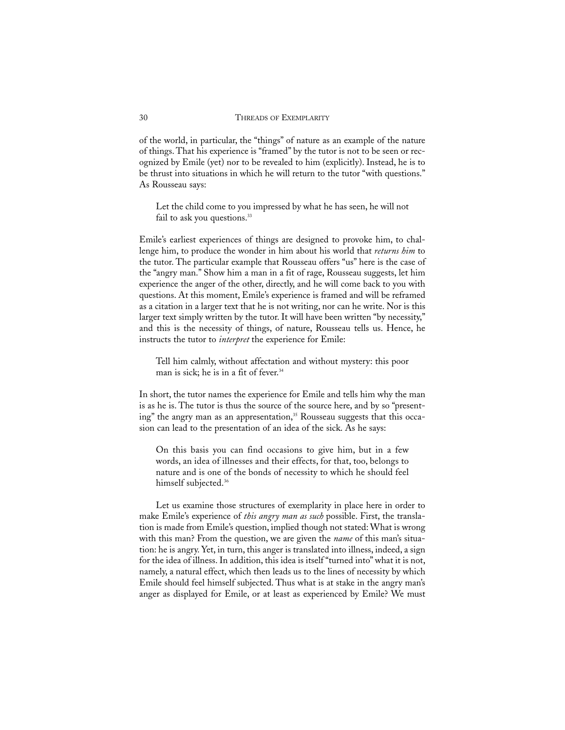of the world, in particular, the "things" of nature as an example of the nature of things. That his experience is "framed" by the tutor is not to be seen or recognized by Emile (yet) nor to be revealed to him (explicitly). Instead, he is to be thrust into situations in which he will return to the tutor "with questions." As Rousseau says:

Let the child come to you impressed by what he has seen, he will not fail to ask you questions.<sup>33</sup>

Emile's earliest experiences of things are designed to provoke him, to challenge him, to produce the wonder in him about his world that *returns him* to the tutor. The particular example that Rousseau offers "us" here is the case of the "angry man." Show him a man in a fit of rage, Rousseau suggests, let him experience the anger of the other, directly, and he will come back to you with questions. At this moment, Emile's experience is framed and will be reframed as a citation in a larger text that he is not writing, nor can he write. Nor is this larger text simply written by the tutor. It will have been written "by necessity," and this is the necessity of things, of nature, Rousseau tells us. Hence, he instructs the tutor to *interpret* the experience for Emile:

Tell him calmly, without affectation and without mystery: this poor man is sick; he is in a fit of fever.<sup>34</sup>

In short, the tutor names the experience for Emile and tells him why the man is as he is. The tutor is thus the source of the source here, and by so "presenting" the angry man as an appresentation,<sup>35</sup> Rousseau suggests that this occasion can lead to the presentation of an idea of the sick. As he says:

On this basis you can find occasions to give him, but in a few words, an idea of illnesses and their effects, for that, too, belongs to nature and is one of the bonds of necessity to which he should feel himself subjected.<sup>36</sup>

Let us examine those structures of exemplarity in place here in order to make Emile's experience of *this angry man as such* possible. First, the translation is made from Emile's question, implied though not stated: What is wrong with this man? From the question, we are given the *name* of this man's situation: he is angry. Yet, in turn, this anger is translated into illness, indeed, a sign for the idea of illness. In addition, this idea is itself "turned into" what it is not, namely, a natural effect, which then leads us to the lines of necessity by which Emile should feel himself subjected. Thus what is at stake in the angry man's anger as displayed for Emile, or at least as experienced by Emile? We must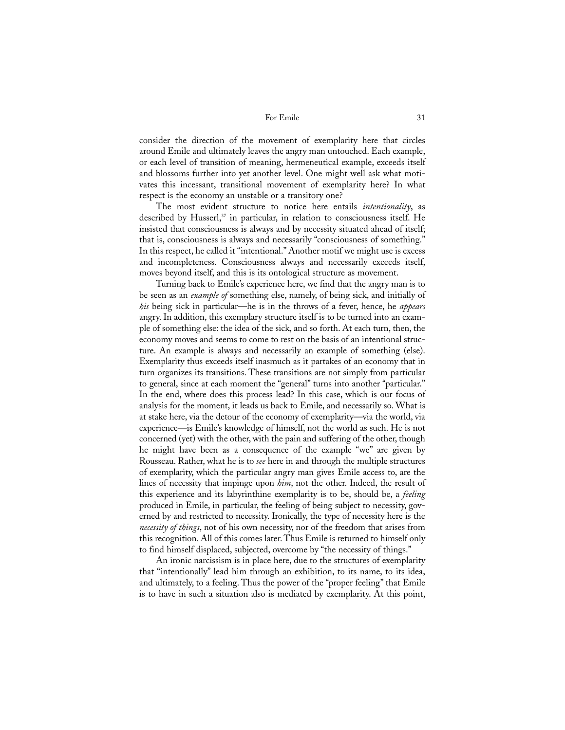consider the direction of the movement of exemplarity here that circles around Emile and ultimately leaves the angry man untouched. Each example, or each level of transition of meaning, hermeneutical example, exceeds itself and blossoms further into yet another level. One might well ask what motivates this incessant, transitional movement of exemplarity here? In what respect is the economy an unstable or a transitory one?

The most evident structure to notice here entails *intentionality*, as described by Husserl,<sup>37</sup> in particular, in relation to consciousness itself. He insisted that consciousness is always and by necessity situated ahead of itself; that is, consciousness is always and necessarily "consciousness of something." In this respect, he called it "intentional." Another motif we might use is excess and incompleteness. Consciousness always and necessarily exceeds itself, moves beyond itself, and this is its ontological structure as movement.

Turning back to Emile's experience here, we find that the angry man is to be seen as an *example of* something else, namely, of being sick, and initially of *his* being sick in particular—he is in the throws of a fever, hence, he *appears* angry. In addition, this exemplary structure itself is to be turned into an example of something else: the idea of the sick, and so forth. At each turn, then, the economy moves and seems to come to rest on the basis of an intentional structure. An example is always and necessarily an example of something (else). Exemplarity thus exceeds itself inasmuch as it partakes of an economy that in turn organizes its transitions. These transitions are not simply from particular to general, since at each moment the "general" turns into another "particular." In the end, where does this process lead? In this case, which is our focus of analysis for the moment, it leads us back to Emile, and necessarily so. What is at stake here, via the detour of the economy of exemplarity—via the world, via experience—is Emile's knowledge of himself, not the world as such. He is not concerned (yet) with the other, with the pain and suffering of the other, though he might have been as a consequence of the example "we" are given by Rousseau. Rather, what he is to *see* here in and through the multiple structures of exemplarity, which the particular angry man gives Emile access to, are the lines of necessity that impinge upon *him*, not the other. Indeed, the result of this experience and its labyrinthine exemplarity is to be, should be, a *feeling* produced in Emile, in particular, the feeling of being subject to necessity, governed by and restricted to necessity. Ironically, the type of necessity here is the *necessity of things*, not of his own necessity, nor of the freedom that arises from this recognition. All of this comes later. Thus Emile is returned to himself only to find himself displaced, subjected, overcome by "the necessity of things."

An ironic narcissism is in place here, due to the structures of exemplarity that "intentionally" lead him through an exhibition, to its name, to its idea, and ultimately, to a feeling. Thus the power of the "proper feeling" that Emile is to have in such a situation also is mediated by exemplarity. At this point,